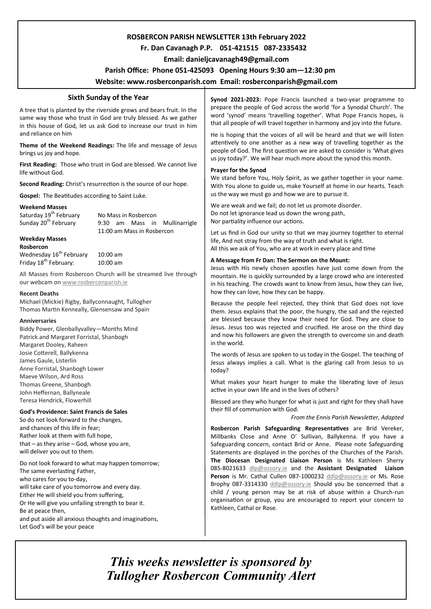# **ROSBERCON PARISH NEWSLETTER 13th February 2022**

# **Fr. Dan Cavanagh P.P. 051-421515 087-2335432**

 **Email: danieljcavanagh49@gmail.com**

## **Parish Office: Phone 051-425093****Opening Hours 9:30 am—12:30 pm**

# **Website: www.rosberconparish.com Email: rosberconparish@gmail.com**

# **Sixth Sunday of the Year**

A tree that is planted by the riverside grows and bears fruit. In the same way those who trust in God are truly blessed. As we gather in this house of God, let us ask God to increase our trust in him and reliance on him

**Theme of the Weekend Readings:** The life and message of Jesus brings us joy and hope.

**First Reading:** Those who trust in God are blessed. We cannot live life without God.

**Second Reading:** Christ's resurrection is the source of our hope.

**Gospel:** The Beatitudes according to Saint Luke.

#### **Weekend Masses**

Saturday 19<sup>th</sup> February No Mass in Rosbercon Sunday 20<sup>th</sup> February 9:30 am Mass in Mullinarrigle 11:00 am Mass in Rosbercon

# **Weekday Masses**

**Rosbercon**

Wednesday 16<sup>th</sup> February 10:00 am Friday 18<sup>th</sup> February: 10:00 am

All Masses from Rosbercon Church will be streamed live through our webcam on [www.rosberconparish.ie](http://www.rosberconparish.ie/)

#### **Recent Deaths**

Michael (Mickie) Rigby, Ballyconnaught, Tullogher Thomas Martin Kenneally, Glensensaw and Spain

#### **Anniversaries**

Biddy Power, Glenballyvalley—Months Mind Patrick and Margaret Forristal, Shanbogh Margaret Dooley, Raheen Josie Cotterell, Ballykenna James Gaule, Listerlin Anne Forristal, Shanbogh Lower Maeve Wilson, Ard Ross Thomas Greene, Shanbogh John Heffernan, Ballyneale Teresa Hendrick, Flowerhill

#### **God's Providence: Saint Francis de Sales**

So do not look forward to the changes, and chances of this life in fear; Rather look at them with full hope, that  $-$  as they arise  $-$  God, whose you are, will deliver you out to them.

Do not look forward to what may happen tomorrow; The same everlasting Father, who cares for you to-day, will take care of you tomorrow and every day. Either He will shield you from suffering, Or He will give you unfailing strength to bear it. Be at peace then, and put aside all anxious thoughts and imaginations,

Let God's will be your peace

**Synod 2021-2023:** Pope Francis launched a two-year programme to prepare the people of God across the world 'for a Synodal Church'. The word 'synod' means 'travelling together'. What Pope Francis hopes, is that all people of will travel together in harmony and joy into the future.

He is hoping that the voices of all will be heard and that we will listen attentively to one another as a new way of travelling together as the people of God. The first question we are asked to consider is 'What gives us joy today?'. We will hear much more about the synod this month.

#### **Prayer for the Synod**

We stand before You, Holy Spirit, as we gather together in your name. With You alone to guide us, make Yourself at home in our hearts. Teach us the way we must go and how we are to pursue it.

We are weak and we fail; do not let us promote disorder. Do not let ignorance lead us down the wrong path, Nor partiality influence our actions.

Let us find in God our unity so that we may journey together to eternal life, And not stray from the way of truth and what is right. All this we ask of You, who are at work in every place and time

#### **A Message from Fr Dan: The Sermon on the Mount:**

Jesus with His newly chosen apostles have just come down from the mountain. He is quickly surrounded by a large crowd who are interested in his teaching. The crowds want to know from Jesus, how they can live, how they can love, how they can be happy.

Because the people feel rejected, they think that God does not love them. Jesus explains that the poor, the hungry, the sad and the rejected are blessed because they know their need for God. They are close to Jesus. Jesus too was rejected and crucified. He arose on the third day and now his followers are given the strength to overcome sin and death in the world.

The words of Jesus are spoken to us today in the Gospel. The teaching of Jesus always implies a call. What is the glaring call from Jesus to us today?

What makes your heart hunger to make the liberating love of Jesus active in your own life and in the lives of others?

Blessed are they who hunger for what is just and right for they shall have their fill of communion with God.

*From the Ennis Parish Newsletter, Adapted*

**Rosbercon Parish Safeguarding Representatives** are Brid Vereker, Millbanks Close and Anne O' Sullivan, Ballykenna. If you have a Safeguarding concern, contact Brid or Anne. Please note Safeguarding Statements are displayed in the porches of the Churches of the Parish. **The Diocesan Designated Liaison Person** is Ms Kathleen Sherry 085-8021633 [dlp@ossory.ie](mailto:dlp@ossory.ie) and the **Assistant Designated Liaison Person** is Mr. Cathal Cullen 087-1000232 [ddlp@ossory.ie](mailto:ddlp@ossory.ie) or Ms. Rose Brophy 087-3314330 [ddlp@ossory.ie](mailto:ddlp@ossory.ie) Should you be concerned that a child / young person may be at risk of abuse within a Church-run organisation or group, you are encouraged to report your concern to Kathleen, Cathal or Rose.

*This weeks newsletter is sponsored by Tullogher Rosbercon Community Alert*